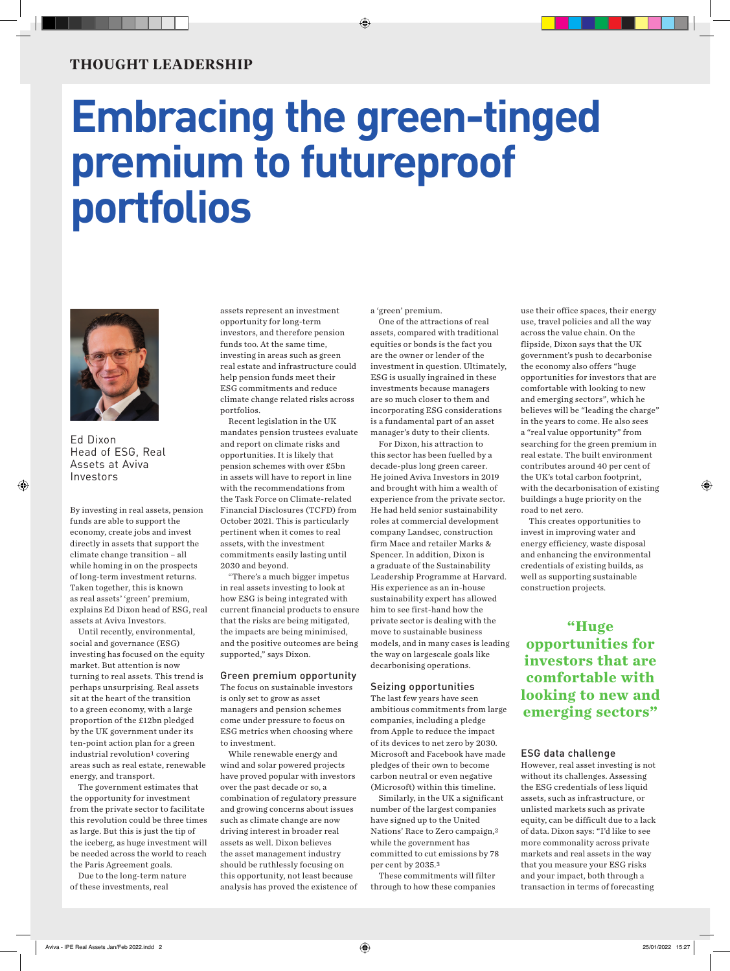## **THOUGHT LEADERSHIP**

# **Embracing the green-tinged premium to futureproof portfolios**



Ed Dixon Head of ESG, Real Assets at Aviva Investors

By investing in real assets, pension funds are able to support the economy, create jobs and invest directly in assets that support the climate change transition – all while homing in on the prospects of long-term investment returns. Taken together, this is known as real assets' 'green' premium, explains Ed Dixon head of ESG, real assets at Aviva Investors.

Until recently, environmental, social and governance (ESG) investing has focused on the equity market. But attention is now turning to real assets. This trend is perhaps unsurprising. Real assets sit at the heart of the transition to a green economy, with a large proportion of the £12bn pledged by the UK government under its ten-point action plan for a green industrial revolution1 covering areas such as real estate, renewable energy, and transport.

The government estimates that the opportunity for investment from the private sector to facilitate this revolution could be three times as large. But this is just the tip of the iceberg, as huge investment will be needed across the world to reach the Paris Agreement goals.

Due to the long-term nature of these investments, real

assets represent an investment opportunity for long-term investors, and therefore pension funds too. At the same time, investing in areas such as green real estate and infrastructure could help pension funds meet their ESG commitments and reduce climate change related risks across portfolios.

Recent legislation in the UK mandates pension trustees evaluate and report on climate risks and opportunities. It is likely that pension schemes with over £5bn in assets will have to report in line with the recommendations from the Task Force on Climate-related Financial Disclosures (TCFD) from October 2021. This is particularly pertinent when it comes to real assets, with the investment commitments easily lasting until 2030 and beyond.

"There's a much bigger impetus in real assets investing to look at how ESG is being integrated with current financial products to ensure that the risks are being mitigated, the impacts are being minimised, and the positive outcomes are being supported," says Dixon.

#### Green premium opportunity

The focus on sustainable investors is only set to grow as asset managers and pension schemes come under pressure to focus on ESG metrics when choosing where to investment.

While renewable energy and wind and solar powered projects have proved popular with investors over the past decade or so, a combination of regulatory pressure and growing concerns about issues such as climate change are now driving interest in broader real assets as well. Dixon believes the asset management industry should be ruthlessly focusing on this opportunity, not least because analysis has proved the existence of a 'green' premium.

One of the attractions of real assets, compared with traditional equities or bonds is the fact you are the owner or lender of the investment in question. Ultimately, ESG is usually ingrained in these investments because managers are so much closer to them and incorporating ESG considerations is a fundamental part of an asset manager's duty to their clients.

For Dixon, his attraction to this sector has been fuelled by a decade-plus long green career. He joined Aviva Investors in 2019 and brought with him a wealth of experience from the private sector. He had held senior sustainability roles at commercial development company Landsec, construction firm Mace and retailer Marks & Spencer. In addition, Dixon is a graduate of the Sustainability Leadership Programme at Harvard. His experience as an in-house sustainability expert has allowed him to see first-hand how the private sector is dealing with the move to sustainable business models, and in many cases is leading the way on largescale goals like decarbonising operations.

#### Seizing opportunities

The last few years have seen ambitious commitments from large companies, including a pledge from Apple to reduce the impact of its devices to net zero by 2030. Microsoft and Facebook have made pledges of their own to become carbon neutral or even negative (Microsoft) within this timeline.

Similarly, in the UK a significant number of the largest companies have signed up to the United Nations' Race to Zero campaign,2 while the government has committed to cut emissions by 78 per cent by 2035.3

These commitments will filter through to how these companies use their office spaces, their energy use, travel policies and all the way across the value chain. On the flipside, Dixon says that the UK government's push to decarbonise the economy also offers "huge opportunities for investors that are comfortable with looking to new and emerging sectors", which he believes will be "leading the charge" in the years to come. He also sees a "real value opportunity" from searching for the green premium in real estate. The built environment contributes around 40 per cent of the UK's total carbon footprint, with the decarbonisation of existing buildings a huge priority on the road to net zero.

This creates opportunities to invest in improving water and energy efficiency, waste disposal and enhancing the environmental credentials of existing builds, as well as supporting sustainable construction projects.

**"Huge opportunities for investors that are comfortable with looking to new and emerging sectors"**

#### ESG data challenge

However, real asset investing is not without its challenges. Assessing the ESG credentials of less liquid assets, such as infrastructure, or unlisted markets such as private equity, can be difficult due to a lack of data. Dixon says: "I'd like to see more commonality across private markets and real assets in the way that you measure your ESG risks and your impact, both through a transaction in terms of forecasting